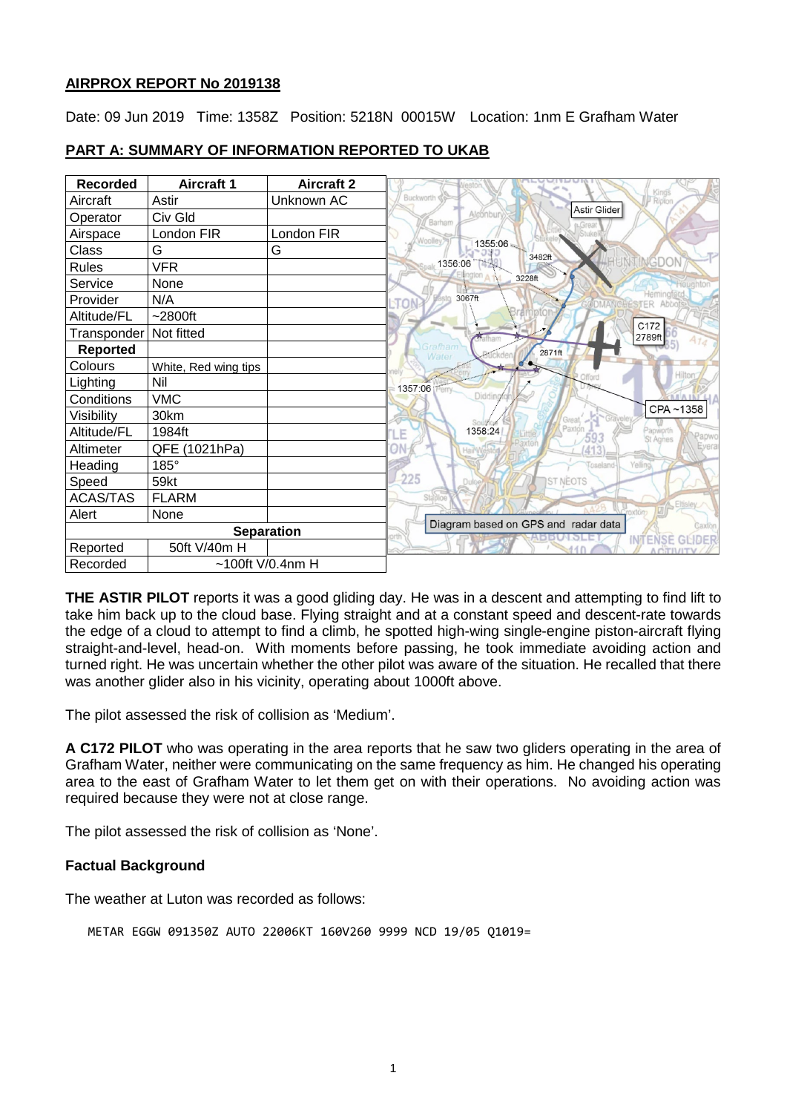### **AIRPROX REPORT No 2019138**

Date: 09 Jun 2019 Time: 1358Z Position: 5218N 00015W Location: 1nm E Grafham Water

| <b>Recorded</b>   | <b>Aircraft 1</b>    | <b>Aircraft 2</b> | Kings                                                                  |
|-------------------|----------------------|-------------------|------------------------------------------------------------------------|
| Aircraft          | Astir                | Unknown AC        | Buckworth<br><b>Ridton</b><br>Astir Glider                             |
| Operator          | Civ Gld              |                   | Alconbur<br>Barhan                                                     |
| Airspace          | London FIR           | London FIR        | Woolley                                                                |
| Class             | G                    | G                 | 1355:06<br>3482ft                                                      |
| <b>Rules</b>      | <b>VFR</b>           |                   | GD<br>1356:06                                                          |
| Service           | None                 |                   | alon<br>3228ft                                                         |
| Provider          | N/A                  |                   | Hemir<br>3067ft                                                        |
| Altitude/FL       | $~2800$ ft           |                   |                                                                        |
| Transponder       | Not fitted           |                   | C172<br>2789ft<br>Matham                                               |
| <b>Reported</b>   |                      |                   | Grafham<br>2871ft<br>Water                                             |
| Colours           | White, Red wing tips |                   |                                                                        |
| Lighting          | Nil                  |                   | Hiltor<br>1357:06<br>erry.                                             |
| Conditions        | <b>VMC</b>           |                   | Didding                                                                |
| Visibility        | 30km                 |                   | CPA~1358<br>Great.                                                     |
| Altitude/FL       | 1984ft               |                   | 1358:24<br>apworth<br>.E<br>Papwo<br><b>St Agnes</b>                   |
| Altimeter         | QFE (1021hPa)        |                   | Evera                                                                  |
| Heading           | 185°                 |                   | Yelling<br>Coseland                                                    |
| Speed             | <b>59kt</b>          |                   | 225<br><b>ST NEOTS</b><br>Dulo                                         |
| <b>ACAS/TAS</b>   | <b>FLARM</b>         |                   | <b>Stabloe</b><br><b>Eltisle</b>                                       |
| Alert             | None                 |                   | roxton                                                                 |
| <b>Separation</b> |                      |                   | Diagram based on GPS and radar data<br>Saxtor<br><b>INTENSE GLIDER</b> |
| Reported          | 50ft V/40m H         |                   |                                                                        |
| Recorded          | $~100$ ft V/0.4nm H  |                   |                                                                        |

# **PART A: SUMMARY OF INFORMATION REPORTED TO UKAB**

**THE ASTIR PILOT** reports it was a good gliding day. He was in a descent and attempting to find lift to take him back up to the cloud base. Flying straight and at a constant speed and descent-rate towards the edge of a cloud to attempt to find a climb, he spotted high-wing single-engine piston-aircraft flying straight-and-level, head-on. With moments before passing, he took immediate avoiding action and turned right. He was uncertain whether the other pilot was aware of the situation. He recalled that there was another glider also in his vicinity, operating about 1000ft above.

The pilot assessed the risk of collision as 'Medium'.

**A C172 PILOT** who was operating in the area reports that he saw two gliders operating in the area of Grafham Water, neither were communicating on the same frequency as him. He changed his operating area to the east of Grafham Water to let them get on with their operations. No avoiding action was required because they were not at close range.

The pilot assessed the risk of collision as 'None'.

## **Factual Background**

The weather at Luton was recorded as follows:

METAR EGGW 091350Z AUTO 22006KT 160V260 9999 NCD 19/05 Q1019=